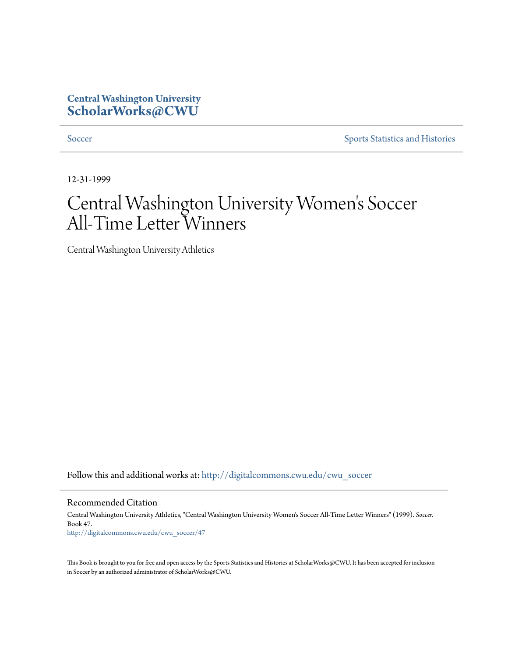### **Central Washington University [ScholarWorks@CWU](http://digitalcommons.cwu.edu?utm_source=digitalcommons.cwu.edu%2Fcwu_soccer%2F47&utm_medium=PDF&utm_campaign=PDFCoverPages)**

[Soccer](http://digitalcommons.cwu.edu/cwu_soccer?utm_source=digitalcommons.cwu.edu%2Fcwu_soccer%2F47&utm_medium=PDF&utm_campaign=PDFCoverPages) [Sports Statistics and Histories](http://digitalcommons.cwu.edu/cwu_sports_statistics?utm_source=digitalcommons.cwu.edu%2Fcwu_soccer%2F47&utm_medium=PDF&utm_campaign=PDFCoverPages)

12-31-1999

# Central Washington University Women 's Soccer All-Time Letter Winners

Central Washington University Athletics

Follow this and additional works at: [http://digitalcommons.cwu.edu/cwu\\_soccer](http://digitalcommons.cwu.edu/cwu_soccer?utm_source=digitalcommons.cwu.edu%2Fcwu_soccer%2F47&utm_medium=PDF&utm_campaign=PDFCoverPages)

#### Recommended Citation

Central Washington University Athletics, "Central Washington University Women's Soccer All-Time Letter Winners" (1999). *Soccer.* Book 47. [http://digitalcommons.cwu.edu/cwu\\_soccer/47](http://digitalcommons.cwu.edu/cwu_soccer/47?utm_source=digitalcommons.cwu.edu%2Fcwu_soccer%2F47&utm_medium=PDF&utm_campaign=PDFCoverPages)

This Book is brought to you for free and open access by the Sports Statistics and Histories at ScholarWorks@CWU. It has been accepted for inclusion in Soccer by an authorized administrator of ScholarWorks@CWU.